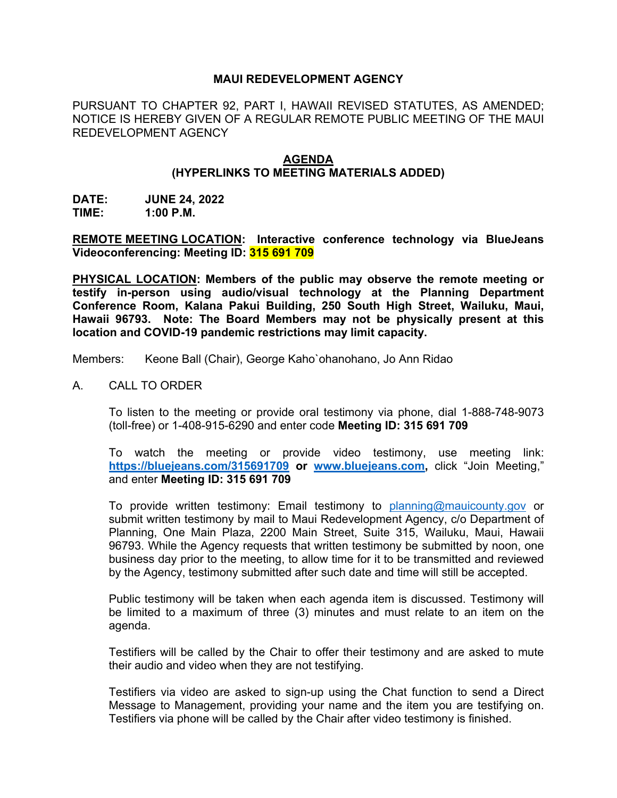## **MAUI REDEVELOPMENT AGENCY**

PURSUANT TO CHAPTER 92, PART I, HAWAII REVISED STATUTES, AS AMENDED; NOTICE IS HEREBY GIVEN OF A REGULAR REMOTE PUBLIC MEETING OF THE MAUI REDEVELOPMENT AGENCY

## **AGENDA**

## **(HYPERLINKS TO MEETING MATERIALS ADDED)**

**DATE: JUNE 24, 2022 TIME: 1:00 P.M.**

**REMOTE MEETING LOCATION: Interactive conference technology via BlueJeans Videoconferencing: Meeting ID: 315 691 709**

**PHYSICAL LOCATION: Members of the public may observe the remote meeting or testify in-person using audio/visual technology at the Planning Department Conference Room, Kalana Pakui Building, 250 South High Street, Wailuku, Maui, Hawaii 96793. Note: The Board Members may not be physically present at this location and COVID-19 pandemic restrictions may limit capacity.**

Members: Keone Ball (Chair), George Kaho`ohanohano, Jo Ann Ridao

A. CALL TO ORDER

To listen to the meeting or provide oral testimony via phone, dial 1-888-748-9073 (toll-free) or 1-408-915-6290 and enter code **Meeting ID: 315 691 709**

To watch the meeting or provide video testimony, use meeting link: **<https://bluejeans.com/315691709> or [www.bluejeans.com,](http://www.bluejeans.com/)** click "Join Meeting," and enter **Meeting ID: 315 691 709**

To provide written testimony: Email testimony to [planning@mauicounty.gov](mailto:planning@mauicounty.gov) or submit written testimony by mail to Maui Redevelopment Agency, c/o Department of Planning, One Main Plaza, 2200 Main Street, Suite 315, Wailuku, Maui, Hawaii 96793. While the Agency requests that written testimony be submitted by noon, one business day prior to the meeting, to allow time for it to be transmitted and reviewed by the Agency, testimony submitted after such date and time will still be accepted.

Public testimony will be taken when each agenda item is discussed. Testimony will be limited to a maximum of three (3) minutes and must relate to an item on the agenda.

Testifiers will be called by the Chair to offer their testimony and are asked to mute their audio and video when they are not testifying.

Testifiers via video are asked to sign-up using the Chat function to send a Direct Message to Management, providing your name and the item you are testifying on. Testifiers via phone will be called by the Chair after video testimony is finished.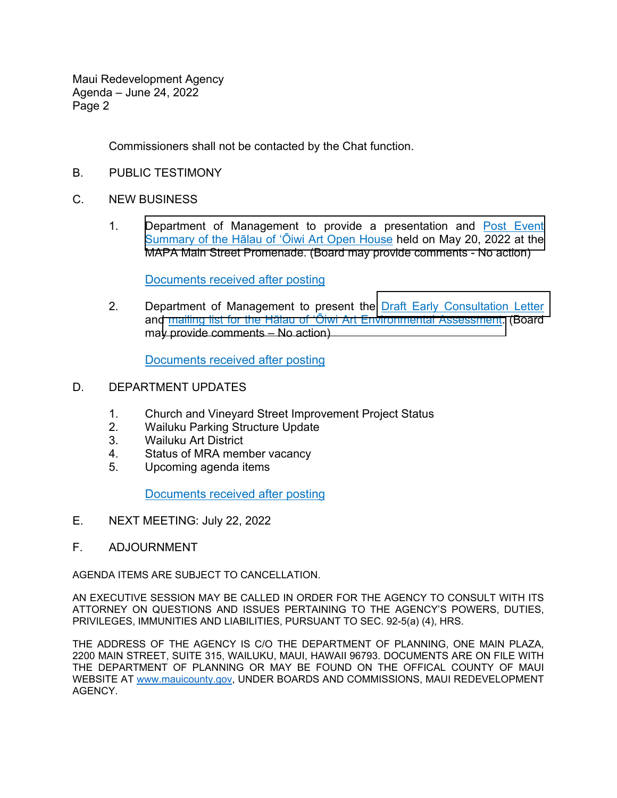Maui Redevelopment Agency Agenda – June 24, 2022 Page 2

Commissioners shall not be contacted by the Chat function.

- B. PUBLIC TESTIMONY
- C. NEW BUSINESS
	- 1. [Department of Management to provide a presentation and Post Event](https://mauicounty.gov/DocumentCenter/View/134008/062422_Item-C1_Open-House-Post-Event-Summary---Halau-of-Oiwi-Art)  Summary of the Hālau of ʻŌiwi Art Open House held on May 20, 2022 at the MAPA Main Street Promenade. (Board may provide comments - No action)

Documents received after posting

2. Department of Management to present the [Draft Early Consultation Letter](https://mauicounty.gov/DocumentCenter/View/134010/062422_item-C2_Halau-of-Oiwi-Art-Early-Consultation-Letter) and [mailing list for the Hālau of ʻŌiwi Art Environme](https://mauicounty.gov/DocumentCenter/View/134009/062422_Item-C2_Halau-of-Oiwi-Art-EA-Distribution-List)ntal Assessment. (Board may provide comments – No action)

Documents received after posting

- D. DEPARTMENT UPDATES
	- 1. Church and Vineyard Street Improvement Project Status
	- 2. Wailuku Parking Structure Update
	- 3. Wailuku Art District
	- 4. Status of MRA member vacancy
	- 5. Upcoming agenda items

Documents received after posting

- E. NEXT MEETING: July 22, 2022
- F. ADJOURNMENT

AGENDA ITEMS ARE SUBJECT TO CANCELLATION.

AN EXECUTIVE SESSION MAY BE CALLED IN ORDER FOR THE AGENCY TO CONSULT WITH ITS ATTORNEY ON QUESTIONS AND ISSUES PERTAINING TO THE AGENCY'S POWERS, DUTIES, PRIVILEGES, IMMUNITIES AND LIABILITIES, PURSUANT TO SEC. 92-5(a) (4), HRS.

THE ADDRESS OF THE AGENCY IS C/O THE DEPARTMENT OF PLANNING, ONE MAIN PLAZA, 2200 MAIN STREET, SUITE 315, WAILUKU, MAUI, HAWAII 96793. DOCUMENTS ARE ON FILE WITH THE DEPARTMENT OF PLANNING OR MAY BE FOUND ON THE OFFICAL COUNTY OF MAUI WEBSITE AT [www.mauicounty.gov,](http://www.mauicounty.gov/) UNDER BOARDS AND COMMISSIONS, MAUI REDEVELOPMENT AGENCY.